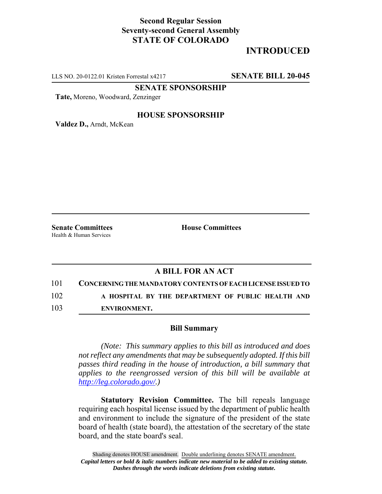## **Second Regular Session Seventy-second General Assembly STATE OF COLORADO**

# **INTRODUCED**

LLS NO. 20-0122.01 Kristen Forrestal x4217 **SENATE BILL 20-045**

**SENATE SPONSORSHIP**

**Tate,** Moreno, Woodward, Zenzinger

#### **HOUSE SPONSORSHIP**

**Valdez D.,** Arndt, McKean

Health & Human Services

**Senate Committees House Committees** 

### **A BILL FOR AN ACT**

101 **CONCERNING THE MANDATORY CONTENTS OF EACH LICENSE ISSUED TO**

102 **A HOSPITAL BY THE DEPARTMENT OF PUBLIC HEALTH AND**

103 **ENVIRONMENT.**

#### **Bill Summary**

*(Note: This summary applies to this bill as introduced and does not reflect any amendments that may be subsequently adopted. If this bill passes third reading in the house of introduction, a bill summary that applies to the reengrossed version of this bill will be available at http://leg.colorado.gov/.)*

**Statutory Revision Committee.** The bill repeals language requiring each hospital license issued by the department of public health and environment to include the signature of the president of the state board of health (state board), the attestation of the secretary of the state board, and the state board's seal.